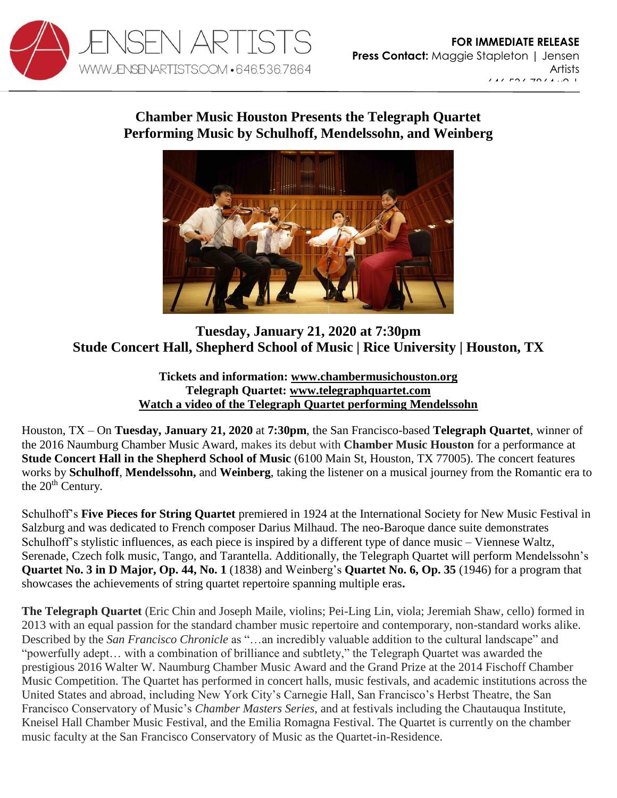

[maggie@jensenartists.com](mailto:maggie@jensenartists.com)

## **Chamber Music Houston Presents the Telegraph Quartet Performing Music by Schulhoff, Mendelssohn, and Weinberg**



## **Tuesday, January 21, 2020 at 7:30pm Stude Concert Hall, Shepherd School of Music | Rice University | Houston, TX**

**Tickets and information: [www.chambermusichouston.org](https://chambermusichouston.org/concerts/2020-01-21-telegraph-quartet/) Telegraph Quartet: [www.telegraphquartet.com](https://u7061146.ct.sendgrid.net/wf/click?upn=84Em28S1K9SvtzcUtu04En1OYlqyWC1qa3CtuXuqVBU87y6AmtKKClRlEdT1ARS9_DruDjhchMBr5xQkz3h1qcOnjZc-2BCsAVhraQ7DxYhbA2-2BHLQf-2BHKWaWi2FTM7QHo-2Fd7eCMDRMAhfd2mcWSs-2FpzNW9MmuPwV7rH-2FbDd7DdSSYMzlKcCoJd-2B-2FMLaL5GDYk8MpV6j6CfwJkPyumYTy7afKbUldX-2FFWenmf-2Bd-2BmPKp4wd4wTDh-2BInVt9Mm9DPRB7ruXaRs5S6foBi6wMkckB1HlulybA3epJm6eQu8j03rINIdlEH-2FaCzkpapvzR-2B5vbtf7loGfqg2iF9lncQalXfxbRdwpSdcfQzyZ-2FZgKRvPOX-2BQgn9U0FgcSkyrruaXrqgm3okoY6QvSopLTI9y-2BSrJMk2JfrINSba7vurU8eWqF8-3D) [Watch a video of the Telegraph Quartet performing Mendelssohn](https://www.youtube.com/watch?v=qn6HjCgOkB8)**

Houston, TX – On **Tuesday, January 21, 2020** at **7:30pm**, the San Francisco-based **Telegraph Quartet**, winner of the 2016 Naumburg Chamber Music Award, makes its debut with **Chamber Music Houston** for a performance at **Stude Concert Hall in the Shepherd School of Music** (6100 Main St, Houston, TX 77005). The concert features works by **Schulhoff**, **Mendelssohn,** and **Weinberg**, taking the listener on a musical journey from the Romantic era to the  $20<sup>th</sup>$  Century.

Schulhoff's **Five Pieces for String Quartet** premiered in 1924 at the International Society for New Music Festival in Salzburg and was dedicated to French composer Darius Milhaud. The neo-Baroque dance suite demonstrates Schulhoff's stylistic influences, as each piece is inspired by a different type of dance music – Viennese Waltz, Serenade, Czech folk music, Tango, and Tarantella. Additionally, the Telegraph Quartet will perform Mendelssohn's **Quartet No. 3 in D Major, Op. 44, No. 1** (1838) and Weinberg's **Quartet No. 6, Op. 35** (1946) for a program that showcases the achievements of string quartet repertoire spanning multiple eras**.**

**The Telegraph Quartet** (Eric Chin and Joseph Maile, violins; Pei-Ling Lin, viola; Jeremiah Shaw, cello) formed in 2013 with an equal passion for the standard chamber music repertoire and contemporary, non-standard works alike. Described by the *San Francisco Chronicle* as "…an incredibly valuable addition to the cultural landscape" and "powerfully adept… with a combination of brilliance and subtlety," the Telegraph Quartet was awarded the prestigious 2016 Walter W. Naumburg Chamber Music Award and the Grand Prize at the 2014 Fischoff Chamber Music Competition. The Quartet has performed in concert halls, music festivals, and academic institutions across the United States and abroad, including New York City's Carnegie Hall, San Francisco's Herbst Theatre, the San Francisco Conservatory of Music's *Chamber Masters Series*, and at festivals including the Chautauqua Institute, Kneisel Hall Chamber Music Festival, and the Emilia Romagna Festival. The Quartet is currently on the chamber music faculty at the San Francisco Conservatory of Music as the Quartet-in-Residence.